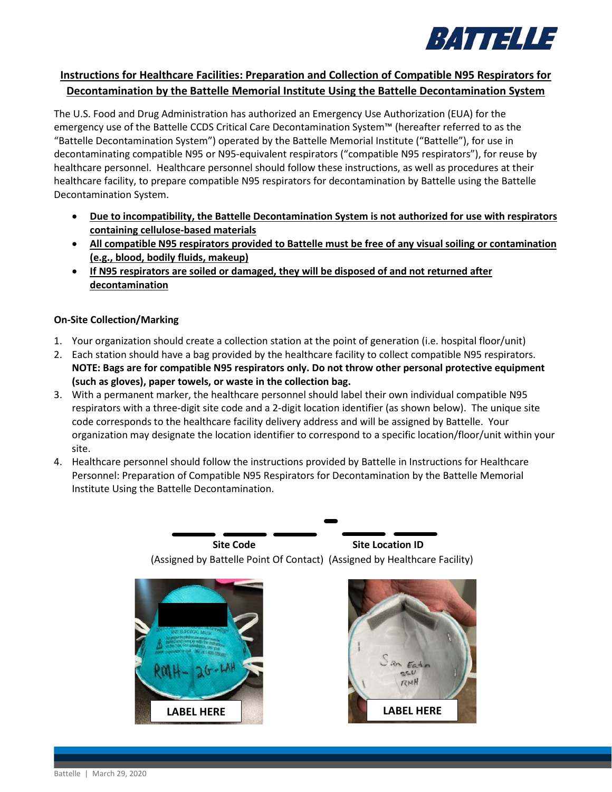

# **Instructions for Healthcare Facilities: Preparation and Collection of Compatible N95 Respirators for Decontamination by the Battelle Memorial Institute Using the Battelle Decontamination System**

The U.S. Food and Drug Administration has authorized an Emergency Use Authorization (EUA) for the emergency use of the Battelle CCDS Critical Care Decontamination System™ (hereafter referred to as the "Battelle Decontamination System") operated by the Battelle Memorial Institute ("Battelle"), for use in decontaminating compatible N95 or N95-equivalent respirators ("compatible N95 respirators"), for reuse by healthcare personnel. Healthcare personnel should follow these instructions, as well as procedures at their healthcare facility, to prepare compatible N95 respirators for decontamination by Battelle using the Battelle Decontamination System.

- **Due to incompatibility, the Battelle Decontamination System is not authorized for use with respirators containing cellulose-based materials**
- **All compatible N95 respirators provided to Battelle must be free of any visual soiling or contamination (e.g., blood, bodily fluids, makeup)**
- **If N95 respirators are soiled or damaged, they will be disposed of and not returned after decontamination**

## **On-Site Collection/Marking**

- 1. Your organization should create a collection station at the point of generation (i.e. hospital floor/unit)
- 2. Each station should have a bag provided by the healthcare facility to collect compatible N95 respirators. **NOTE: Bags are for compatible N95 respirators only. Do not throw other personal protective equipment (such as gloves), paper towels, or waste in the collection bag.**
- 3. With a permanent marker, the healthcare personnel should label their own individual compatible N95 respirators with a three-digit site code and a 2-digit location identifier (as shown below). The unique site code corresponds to the healthcare facility delivery address and will be assigned by Battelle. Your organization may designate the location identifier to correspond to a specific location/floor/unit within your site.
- 4. Healthcare personnel should follow the instructions provided by Battelle in Instructions for Healthcare Personnel: Preparation of Compatible N95 Respirators for Decontamination by the Battelle Memorial Institute Using the Battelle Decontamination.